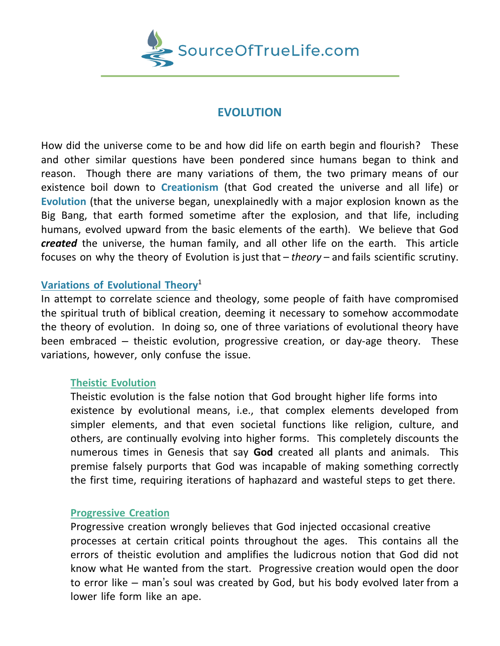

# **EVOLUTION**

How did the universe come to be and how did life on earth begin and flourish? These and other similar questions have been pondered since humans began to think and reason. Though there are many variations of them, the two primary means of our existence boil down to **Creationism** (that God created the universe and all life) or **Evolution** (that the universe began, unexplainedly with a major explosion known as the Big Bang, that earth formed sometime after the explosion, and that life, including humans, evolved upward from the basic elements of the earth). We believe that God *created* the universe, the human family, and all other life on the earth. This article focuses on why the theory of Evolution is just that – *theory* – and fails scientific scrutiny.

# **Variations of Evolutional Theory**<sup>1</sup>

In attempt to correlate science and theology, some people of faith have compromised the spiritual truth of biblical creation, deeming it necessary to somehow accommodate the theory of evolution. In doing so, one of three variations of evolutional theory have been embraced – theistic evolution, progressive creation, or day-age theory. These variations, however, only confuse the issue.

### **Theistic Evolution**

Theistic evolution is the false notion that God brought higher life forms into existence by evolutional means, i.e., that complex elements developed from simpler elements, and that even societal functions like religion, culture, and others, are continually evolving into higher forms. This completely discounts the numerous times in Genesis that say **God** created all plants and animals. This premise falsely purports that God was incapable of making something correctly the first time, requiring iterations of haphazard and wasteful steps to get there.

### **Progressive Creation**

Progressive creation wrongly believes that God injected occasional creative processes at certain critical points throughout the ages. This contains all the errors of theistic evolution and amplifies the ludicrous notion that God did not know what He wanted from the start. Progressive creation would open the door to error like – man's soul was created by God, but his body evolved later from a lower life form like an ape.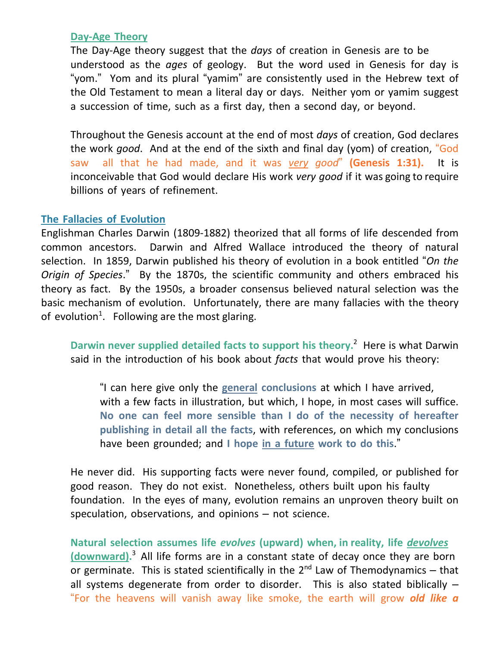### **Day-Age Theory**

The Day-Age theory suggest that the *days* of creation in Genesis are to be understood as the *ages* of geology. But the word used in Genesis for day is "yom." Yom and its plural "yamim" are consistently used in the Hebrew text of the Old Testament to mean a literal day or days. Neither yom or yamim suggest a succession of time, such as a first day, then a second day, or beyond.

Throughout the Genesis account at the end of most *days* of creation, God declares the work *good*. And at the end of the sixth and final day (yom) of creation, "God saw all that he had made, and it was *very good*" **(Genesis 1:31).** It is inconceivable that God would declare His work *very good* if it was going to require billions of years of refinement.

## **The Fallacies of Evolution**

Englishman Charles Darwin (1809-1882) theorized that all forms of life descended from common ancestors. Darwin and Alfred Wallace introduced the theory of natural selection. In 1859, Darwin published his theory of evolution in a book entitled "*On the Origin of Species*." By the 1870s, the scientific community and others embraced his theory as fact. By the 1950s, a broader consensus believed natural selection was the basic mechanism of evolution. Unfortunately, there are many fallacies with the theory of evolution<sup>1</sup>. Following are the most glaring.

**Darwin never supplied detailed facts to support his theory.** 2 Here is what Darwin said in the introduction of his book about *facts* that would prove his theory:

"I can here give only the **general conclusions** at which I have arrived, with a few facts in illustration, but which, I hope, in most cases will suffice. **No one can feel more sensible than I do of the necessity of hereafter publishing in detail all the facts**, with references, on which my conclusions have been grounded; and **I hope in a future work to do this**."

He never did. His supporting facts were never found, compiled, or published for good reason. They do not exist. Nonetheless, others built upon his faulty foundation. In the eyes of many, evolution remains an unproven theory built on speculation, observations, and opinions – not science.

**Natural selection assumes life** *evolves* **(upward) when, in reality, life** *devolves* **(downward).** <sup>3</sup> All life forms are in a constant state of decay once they are born or germinate. This is stated scientifically in the  $2^{nd}$  Law of Themodynamics – that all systems degenerate from order to disorder. This is also stated biblically  $-$ "For the heavens will vanish away like smoke, the earth will grow *old like a*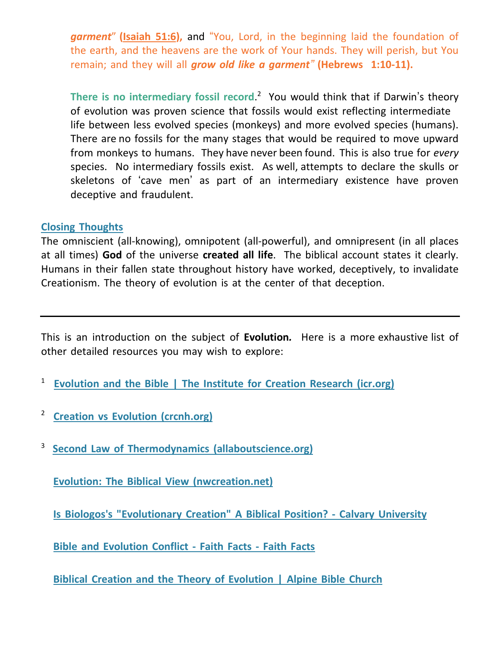*garment*" **[\(Isaiah](https://biblia.com/bible/nkjv/Isa%2051.6) 51:6),** and "You, Lord, in the beginning laid the foundation of the earth, and the heavens are the work of Your hands. They will perish, but You remain; and they will all *grow old like a garment"* **[\(Hebrews](https://biblia.com/bible/nkjv/Heb%201.10-11) 1:10-11).**

**There is no intermediary fossil record**. 2 You would think that if Darwin's theory of evolution was proven science that fossils would exist reflecting intermediate life between less evolved species (monkeys) and more evolved species (humans). There are no fossils for the many stages that would be required to move upward from monkeys to humans. They have never been found. This is also true for *every* species. No intermediary fossils exist. As well, attempts to declare the skulls or skeletons of 'cave men' as part of an intermediary existence have proven deceptive and fraudulent.

#### **Closing Thoughts**

The omniscient (all-knowing), omnipotent (all-powerful), and omnipresent (in all places at all times) **God** of the universe **created all life**. The biblical account states it clearly. Humans in their fallen state throughout history have worked, deceptively, to invalidate Creationism. The theory of evolution is at the center of that deception.

This is an introduction on the subject of **Evolution***.* Here is a more exhaustive list of other detailed resources you may wish to explore:

1 **[Evolution](https://www.icr.org/article/evolution-bible/) and the Bible | The Institute for Creation Research (icr.org)**

2 **Creation vs Evolution [\(crcnh.org\)](https://crcnh.org/downloads/youth-ministry/ppt-lessons/Creation-vs-Evolution-SS.pdf)**

3 **Second Law of Thermodynamics [\(allaboutscience.org\)](https://www.allaboutscience.org/second-law-of-thermodynamics.htm)**

**Evolution: The Biblical View [\(nwcreation.net\)](http://www.nwcreation.net/course/evolution.html)**

**Is Biologos's ["Evolutionary](https://www.calvary.edu/biologoss-evolutionary-creation-biblical-position/) Creation" A Biblical Position? - Calvary University**

**Bible and [Evolution](https://www.faithfacts.org/evolution-or-creation/bible-and-evolution-conflict) Conflict - Faith Facts - Faith Facts**

**Biblical Creation and the Theory of [Evolution](https://www.alpinebible.com/2015/05/biblical-creation-and-the-theory-of-evolution/) | Alpine Bible Church**